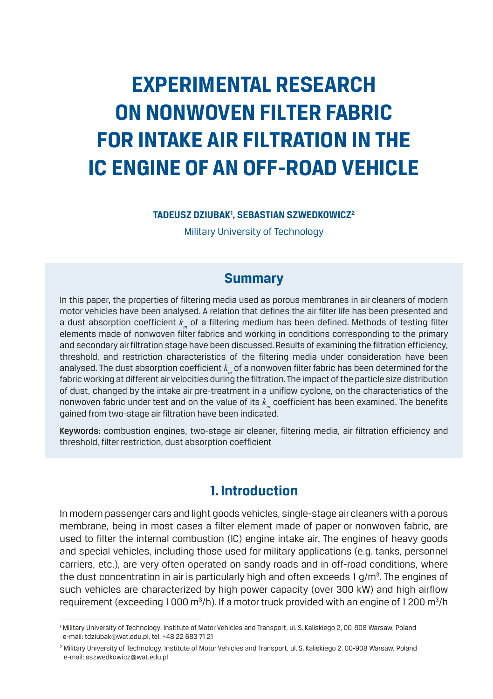# **EXPERIMENTAL RESEARCH ON NONWOVEN FILTER FABRIC FOR INTAKE AIR FILTRATION IN THE IC ENGINE OF AN OFF-ROAD VEHICLE**

#### **TADEUSZ DZIUBAK1 , SEBASTIAN SZWEDKOWICZ2**

Military University of Technology

#### **Summary**

In this paper, the properties of filtering media used as porous membranes in air cleaners of modern motor vehicles have been analysed. A relation that defines the air filter life has been presented and a dust absorption coefficient k of a filtering medium has been defined. Methods of testing filter elements made of nonwoven filter fabrics and working in conditions corresponding to the primary and secondary air filtration stage have been discussed. Results of examining the filtration efficiency, threshold, and restriction characteristics of the filtering media under consideration have been analysed. The dust absorption coefficient  $k<sub>m</sub>$  of a nonwoven filter fabric has been determined for the fabric working at different air velocities during the filtration. The impact of the particle size distribution of dust, changed by the intake air pre-treatment in a uniflow cyclone, on the characteristics of the nonwoven fabric under test and on the value of its *k* coefficient has been examined. The benefits gained from two-stage air filtration have been indicated.

Keywords: combustion engines, two-stage air cleaner, filtering media, air filtration efficiency and threshold, filter restriction, dust absorption coefficient

## **1. Introduction**

In modern passenger cars and light goods vehicles, single-stage air cleaners with a porous membrane, being in most cases a filter element made of paper or nonwoven fabric, are used to filter the internal combustion (IC) engine intake air. The engines of heavy goods and special vehicles, including those used for military applications (e.g. tanks, personnel carriers, etc.), are very often operated on sandy roads and in off-road conditions, where the dust concentration in air is particularly high and often exceeds  $1$  g/m<sup>3</sup>. The engines of such vehicles are characterized by high power capacity (over 300 kW) and high airflow requirement (exceeding 1 000 m $^3$ /h). If a motor truck provided with an engine of 1 200 m $^3$ /h

<sup>1</sup> Military University of Technology, Institute of Motor Vehicles and Transport, ul. S. Kaliskiego 2, 00-908 Warsaw, Poland e-mail: tdziubak@wat.edu.pl, tel. +48 22 683 71 21

<sup>2</sup> Military University of Technology, Institute of Motor Vehicles and Transport, ul. S. Kaliskiego 2, 00-908 Warsaw, Poland e-mail: sszwedkowicz@wat.edu.pl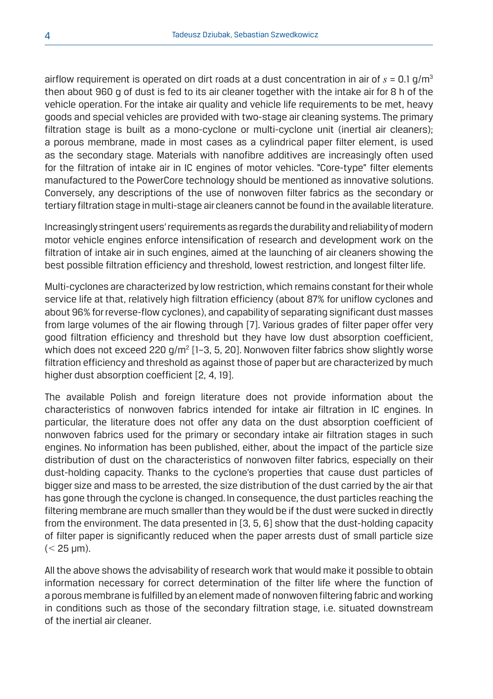airflow requirement is operated on dirt roads at a dust concentration in air of  $s = 0.1$  g/m<sup>3</sup> then about 960 g of dust is fed to its air cleaner together with the intake air for 8 h of the vehicle operation. For the intake air quality and vehicle life requirements to be met, heavy goods and special vehicles are provided with two-stage air cleaning systems. The primary filtration stage is built as a mono-cyclone or multi-cyclone unit (inertial air cleaners); a porous membrane, made in most cases as a cylindrical paper filter element, is used as the secondary stage. Materials with nanofibre additives are increasingly often used for the filtration of intake air in IC engines of motor vehicles. "Core-type" filter elements manufactured to the PowerCore technology should be mentioned as innovative solutions. Conversely, any descriptions of the use of nonwoven filter fabrics as the secondary or tertiary filtration stage in multi-stage air cleaners cannot be found in the available literature.

Increasingly stringent users' requirements as regards the durability and reliability of modern motor vehicle engines enforce intensification of research and development work on the filtration of intake air in such engines, aimed at the launching of air cleaners showing the best possible filtration efficiency and threshold, lowest restriction, and longest filter life.

Multi-cyclones are characterized by low restriction, which remains constant for their whole service life at that, relatively high filtration efficiency (about 87% for uniflow cyclones and about 96% for reverse-flow cyclones), and capability of separating significant dust masses from large volumes of the air flowing through [7]. Various grades of filter paper offer very good filtration efficiency and threshold but they have low dust absorption coefficient, which does not exceed 220 g/m² [1–3, 5, 20]. Nonwoven filter fabrics show slightly worse filtration efficiency and threshold as against those of paper but are characterized by much higher dust absorption coefficient [2, 4, 19].

The available Polish and foreign literature does not provide information about the characteristics of nonwoven fabrics intended for intake air filtration in IC engines. In particular, the literature does not offer any data on the dust absorption coefficient of nonwoven fabrics used for the primary or secondary intake air filtration stages in such engines. No information has been published, either, about the impact of the particle size distribution of dust on the characteristics of nonwoven filter fabrics, especially on their dust-holding capacity. Thanks to the cyclone's properties that cause dust particles of bigger size and mass to be arrested, the size distribution of the dust carried by the air that has gone through the cyclone is changed. In consequence, the dust particles reaching the filtering membrane are much smaller than they would be if the dust were sucked in directly from the environment. The data presented in [3, 5, 6] show that the dust-holding capacity of filter paper is significantly reduced when the paper arrests dust of small particle size (*<* 25 μm).

All the above shows the advisability of research work that would make it possible to obtain information necessary for correct determination of the filter life where the function of a porous membrane is fulfilled by an element made of nonwoven filtering fabric and working in conditions such as those of the secondary filtration stage, i.e. situated downstream of the inertial air cleaner.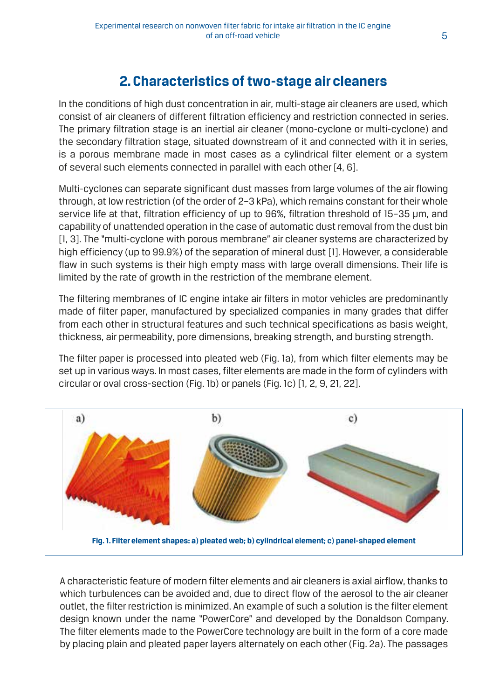# **2. Characteristics of two-stage air cleaners**

In the conditions of high dust concentration in air, multi-stage air cleaners are used, which consist of air cleaners of different filtration efficiency and restriction connected in series. The primary filtration stage is an inertial air cleaner (mono-cyclone or multi-cyclone) and the secondary filtration stage, situated downstream of it and connected with it in series, is a porous membrane made in most cases as a cylindrical filter element or a system of several such elements connected in parallel with each other [4, 6].

Multi-cyclones can separate significant dust masses from large volumes of the air flowing through, at low restriction (of the order of 2–3 kPa), which remains constant for their whole service life at that, filtration efficiency of up to 96%, filtration threshold of 15–35 μm, and capability of unattended operation in the case of automatic dust removal from the dust bin [1, 3]. The "multi-cyclone with porous membrane" air cleaner systems are characterized by high efficiency (up to 99.9%) of the separation of mineral dust [1]. However, a considerable flaw in such systems is their high empty mass with large overall dimensions. Their life is limited by the rate of growth in the restriction of the membrane element.

The filtering membranes of IC engine intake air filters in motor vehicles are predominantly made of filter paper, manufactured by specialized companies in many grades that differ from each other in structural features and such technical specifications as basis weight, thickness, air permeability, pore dimensions, breaking strength, and bursting strength.

The filter paper is processed into pleated web (Fig. 1a), from which filter elements may be set up in various ways. In most cases, filter elements are made in the form of cylinders with circular or oval cross-section (Fig. 1b) or panels (Fig. 1c) [1, 2, 9, 21, 22].



A characteristic feature of modern filter elements and air cleaners is axial airflow, thanks to which turbulences can be avoided and, due to direct flow of the aerosol to the air cleaner outlet, the filter restriction is minimized. An example of such a solution is the filter element design known under the name "PowerCore" and developed by the Donaldson Company. The filter elements made to the PowerCore technology are built in the form of a core made by placing plain and pleated paper layers alternately on each other (Fig. 2a). The passages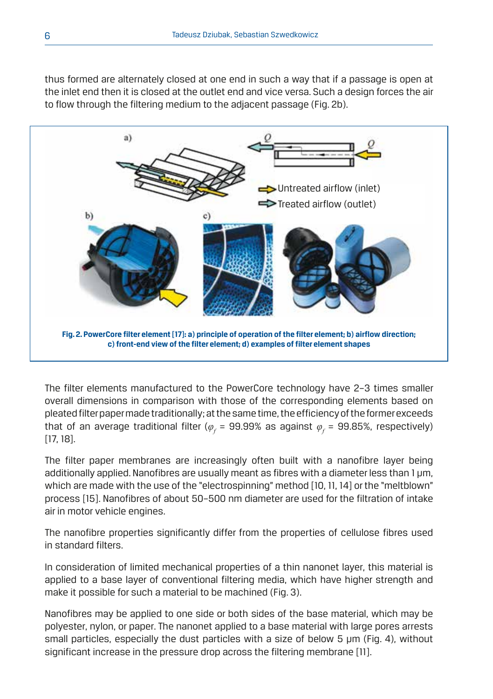thus formed are alternately closed at one end in such a way that if a passage is open at the inlet end then it is closed at the outlet end and vice versa. Such a design forces the air to flow through the filtering medium to the adjacent passage (Fig. 2b).



The filter elements manufactured to the PowerCore technology have 2–3 times smaller overall dimensions in comparison with those of the corresponding elements based on pleated filter paper made traditionally; at the same time, the efficiency of the former exceeds that of an average traditional filter ( $\varphi_{\!{_f}}$  = 99.99% as against  $\varphi_{\!{_f}}$  = 99.85%, respectively) [17, 18].

The filter paper membranes are increasingly often built with a nanofibre layer being additionally applied. Nanofibres are usually meant as fibres with a diameter less than 1 μm, which are made with the use of the "electrospinning" method [10, 11, 14] or the "meltblown" process [15]. Nanofibres of about 50–500 nm diameter are used for the filtration of intake air in motor vehicle engines.

The nanofibre properties significantly differ from the properties of cellulose fibres used in standard filters.

In consideration of limited mechanical properties of a thin nanonet layer, this material is applied to a base layer of conventional filtering media, which have higher strength and make it possible for such a material to be machined (Fig. 3).

Nanofibres may be applied to one side or both sides of the base material, which may be polyester, nylon, or paper. The nanonet applied to a base material with large pores arrests small particles, especially the dust particles with a size of below 5 μm (Fig. 4), without significant increase in the pressure drop across the filtering membrane [11].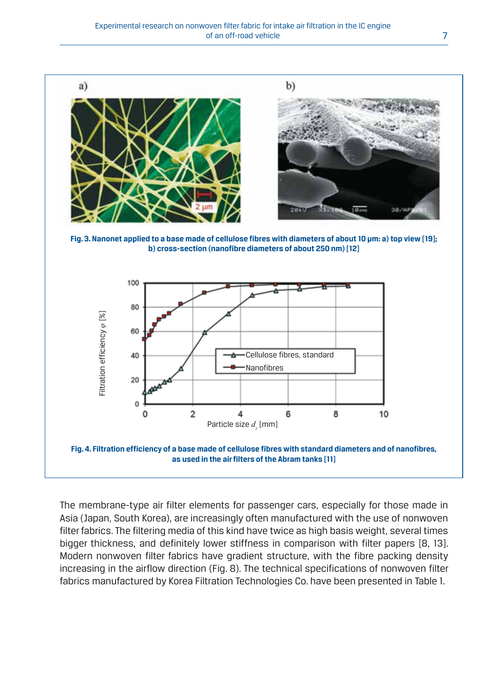

The membrane-type air filter elements for passenger cars, especially for those made in Asia (Japan, South Korea), are increasingly often manufactured with the use of nonwoven filter fabrics. The filtering media of this kind have twice as high basis weight, several times bigger thickness, and definitely lower stiffness in comparison with filter papers [8, 13]. Modern nonwoven filter fabrics have gradient structure, with the fibre packing density increasing in the airflow direction (Fig. 8). The technical specifications of nonwoven filter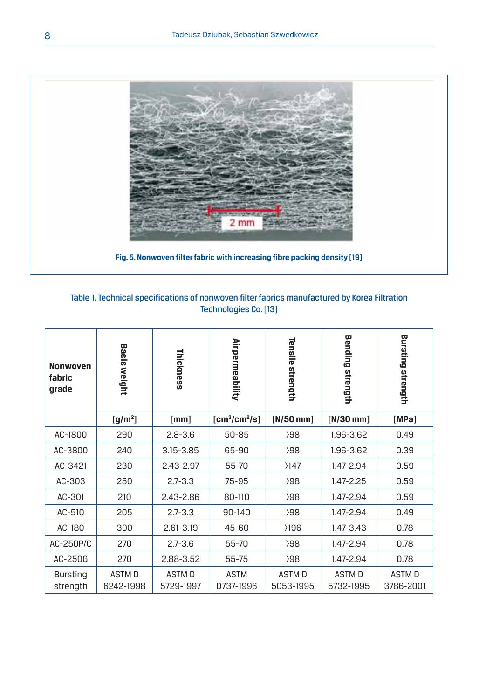

#### Table 1. Technical specifications of nonwoven filter fabrics manufactured by Korea Filtration Technologies Co. [13]

| <b>Nonwoven</b><br>fabric<br>grade | <b>Basis</b><br>weight    | Thickness                 | Air permeability                     | Tensile<br>strength          | Bending strength          | <b>Bursting</b><br>strength |
|------------------------------------|---------------------------|---------------------------|--------------------------------------|------------------------------|---------------------------|-----------------------------|
|                                    | $[g/m^2]$                 | [mm]                      | $\text{[cm}^3/\text{cm}^2/\text{s}]$ | $[N/50$ mm                   | $[N/30$ mm]               | [MPa]                       |
| AC-1800                            | 290                       | $2.8 - 3.6$               | 50-85                                | 98                           | 1.96-3.62                 | 0.49                        |
| AC-3800                            | 240                       | 3.15-3.85                 | 65-90                                | 98                           | 1.96-3.62                 | 0.39                        |
| AC-3421                            | 230                       | 2.43-2.97                 | 55-70                                | $\overline{\phantom{1}}$ 147 | 1.47-2.94                 | 0.59                        |
| AC-303                             | 250                       | $2.7 - 3.3$               | 75-95                                | 98                           | 1.47-2.25                 | 0.59                        |
| AC-301                             | 210                       | 2.43-2.86                 | 80-110                               | 98                           | 1.47-2.94                 | 0.59                        |
| AC-510                             | 205                       | $2.7 - 3.3$               | 90-140                               | 98                           | 1.47-2.94                 | 0.49                        |
| AC-180                             | 300                       | 2.61-3.19                 | 45-60                                | $\lambda$ 196                | 1.47-3.43                 | 0.78                        |
| AC-250P/C                          | 270                       | $2.7 - 3.6$               | 55-70                                | 98                           | 1.47-2.94                 | 0.78                        |
| AC-250G                            | 270                       | 2.88-3.52                 | 55-75                                | 98                           | 1.47-2.94                 | 0.78                        |
| <b>Bursting</b><br>strength        | <b>ASTMD</b><br>6242-1998 | <b>ASTMD</b><br>5729-1997 | <b>ASTM</b><br>D737-1996             | <b>ASTMD</b><br>5053-1995    | <b>ASTMD</b><br>5732-1995 | <b>ASTMD</b><br>3786-2001   |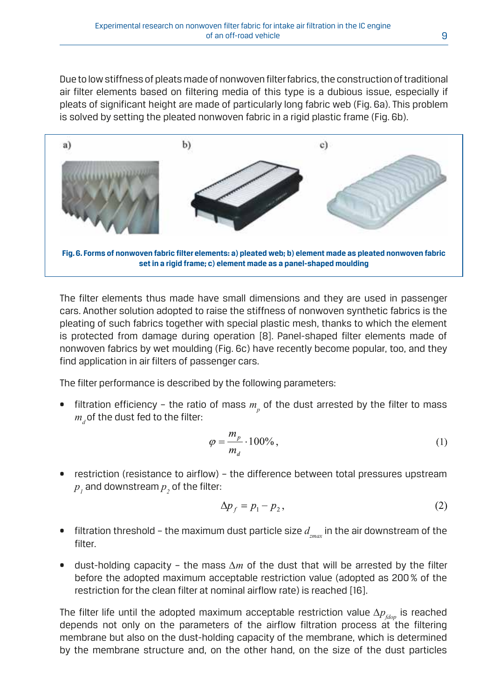Due to low stiffness of pleats made of nonwoven filter fabrics, the construction of traditional air filter elements based on filtering media of this type is a dubious issue, especially if pleats of significant height are made of particularly long fabric web (Fig. 6a). This problem is solved by setting the pleated nonwoven fabric in a rigid plastic frame (Fig. 6b).



The filter elements thus made have small dimensions and they are used in passenger cars. Another solution adopted to raise the stiffness of nonwoven synthetic fabrics is the pleating of such fabrics together with special plastic mesh, thanks to which the element is protected from damage during operation [8]. Panel-shaped filter elements made of nonwoven fabrics by wet moulding (Fig. 6c) have recently become popular, too, and they find application in air filters of passenger cars.

The filter performance is described by the following parameters:

 $\bullet$  filtration efficiency - the ratio of mass  $m_{p}^{}$  of the dust arrested by the filter to mass  $m<sub>a</sub>$  of the dust fed to the filter:

$$
\varphi = \frac{m_p}{m_d} \cdot 100\%,\tag{1}
$$

• restriction (resistance to airflow) – the difference between total pressures upstream  $\overline{p}_j$  and downstream  $\overline{p}_2$  of the filter:

$$
\Delta p_f = p_1 - p_2,\tag{2}
$$

- filtration threshold the maximum dust particle size  $d_{\text{max}}$  in the air downstream of the filter.
- • dust-holding capacity the mass *∆m* of the dust that will be arrested by the filter before the adopted maximum acceptable restriction value (adopted as 200% of the restriction for the clean filter at nominal airflow rate) is reached [16].

The filter life until the adopted maximum acceptable restriction value *∆pfdop* is reached depends not only on the parameters of the airflow filtration process at the filtering membrane but also on the dust-holding capacity of the membrane, which is determined by the membrane structure and, on the other hand, on the size of the dust particles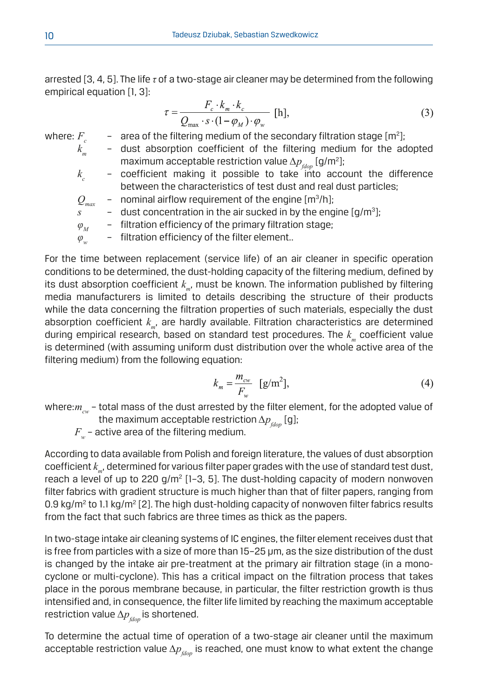arrested [3, 4, 5]. The life *τ* of a two-stage air cleaner may be determined from the following empirical equation [1, 3]:

$$
\tau = \frac{F_c \cdot k_m \cdot k_c}{Q_{\text{max}} \cdot s \cdot (1 - \varphi_M) \cdot \varphi_w} \text{ [h],}
$$
\n<sup>(3)</sup>

where:  $F_{\perp}$ - area of the filtering medium of the secondary filtration stage  $[m^2]$ ;

- *k<sup>m</sup>* dust absorption coefficient of the filtering medium for the adopted maximum acceptable restriction value  $\Delta p_{\scriptscriptstyle f\!dop}^{}$  [g/m<sup>2</sup>];
- $k<sub>z</sub>$  coefficient making it possible to take into account the difference between the characteristics of test dust and real dust particles;
- $Q_{\rm \scriptscriptstyle max}$   $\,$   $\,$  nominal airflow requirement of the engine [m $^3$ /h];
- $s$  dust concentration in the air sucked in by the engine  $[g/m^3]$ ;
- $\varphi$ <sub>*M*</sub> filtration efficiency of the primary filtration stage;
- *φ<sup>w</sup>* filtration efficiency of the filter element..

For the time between replacement (service life) of an air cleaner in specific operation conditions to be determined, the dust-holding capacity of the filtering medium, defined by its dust absorption coefficient  $k<sub>m</sub>$ , must be known. The information published by filtering media manufacturers is limited to details describing the structure of their products while the data concerning the filtration properties of such materials, especially the dust absorption coefficient  $k_m$ , are hardly available. Filtration characteristics are determined during empirical research, based on standard test procedures. The  $k<sub>m</sub>$  coefficient value is determined (with assuming uniform dust distribution over the whole active area of the filtering medium) from the following equation:

$$
k_m = \frac{m_{cw}}{F_w} \quad \text{[g/m}^2\text{]},\tag{4}
$$

where: $m_{\text{av}}$  – total mass of the dust arrested by the filter element, for the adopted value of the maximum acceptable restriction ∆ $p_{\text{fdop}}$  [g];

 $F_{\mu}$  – active area of the filtering medium.

According to data available from Polish and foreign literature, the values of dust absorption coefficient  $k_m$ , determined for various filter paper grades with the use of standard test dust, reach a level of up to 220  $g/m^2$  [1-3, 5]. The dust-holding capacity of modern nonwoven filter fabrics with gradient structure is much higher than that of filter papers, ranging from 0.9 kg/m<sup>2</sup> to 1.1 kg/m<sup>2</sup> [2]. The high dust-holding capacity of nonwoven filter fabrics results from the fact that such fabrics are three times as thick as the papers.

In two-stage intake air cleaning systems of IC engines, the filter element receives dust that is free from particles with a size of more than 15–25 μm, as the size distribution of the dust is changed by the intake air pre-treatment at the primary air filtration stage (in a monocyclone or multi-cyclone). This has a critical impact on the filtration process that takes place in the porous membrane because, in particular, the filter restriction growth is thus intensified and, in consequence, the filter life limited by reaching the maximum acceptable restriction value  $\Delta p_{\text{flon}}$  is shortened.

To determine the actual time of operation of a two-stage air cleaner until the maximum acceptable restriction value *∆pfdop* is reached, one must know to what extent the change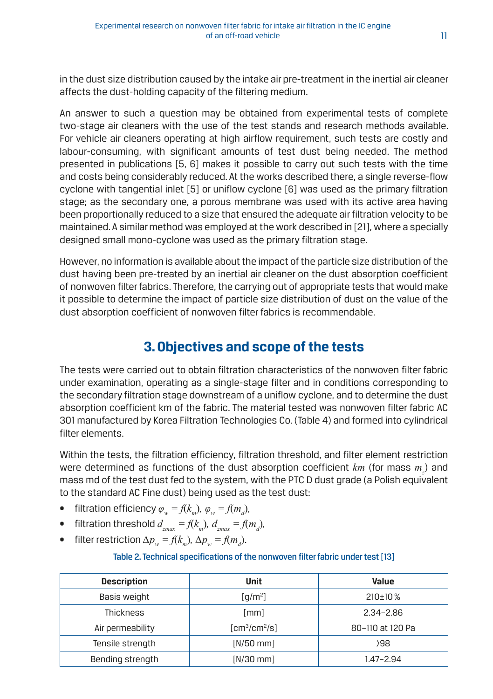in the dust size distribution caused by the intake air pre-treatment in the inertial air cleaner affects the dust-holding capacity of the filtering medium.

An answer to such a question may be obtained from experimental tests of complete two-stage air cleaners with the use of the test stands and research methods available. For vehicle air cleaners operating at high airflow requirement, such tests are costly and labour-consuming, with significant amounts of test dust being needed. The method presented in publications [5, 6] makes it possible to carry out such tests with the time and costs being considerably reduced. At the works described there, a single reverse-flow cyclone with tangential inlet [5] or uniflow cyclone [6] was used as the primary filtration stage; as the secondary one, a porous membrane was used with its active area having been proportionally reduced to a size that ensured the adequate air filtration velocity to be maintained. A similar method was employed at the work described in [21], where a specially designed small mono-cyclone was used as the primary filtration stage.

However, no information is available about the impact of the particle size distribution of the dust having been pre-treated by an inertial air cleaner on the dust absorption coefficient of nonwoven filter fabrics. Therefore, the carrying out of appropriate tests that would make it possible to determine the impact of particle size distribution of dust on the value of the dust absorption coefficient of nonwoven filter fabrics is recommendable.

# **3. Objectives and scope of the tests**

The tests were carried out to obtain filtration characteristics of the nonwoven filter fabric under examination, operating as a single-stage filter and in conditions corresponding to the secondary filtration stage downstream of a uniflow cyclone, and to determine the dust absorption coefficient km of the fabric. The material tested was nonwoven filter fabric AC 301 manufactured by Korea Filtration Technologies Co. (Table 4) and formed into cylindrical filter elements.

Within the tests, the filtration efficiency, filtration threshold, and filter element restriction were determined as functions of the dust absorption coefficient  $km$  (for mass  $m_{z}$ ) and mass md of the test dust fed to the system, with the PTC D dust grade (a Polish equivalent to the standard AC Fine dust) being used as the test dust:

- filtration efficiency  $\varphi_w = f(k_m)$ ,  $\varphi_w = f(m_d)$ ,
- filtration threshold  $d_{z_{max}} = f(k_m)$ ,  $d_{z_{max}} = f(m_d)$ ,
- $\bullet$  filter restriction  $\Delta p_w = f(k_m)$ ,  $\Delta p_w = f(m_d)$ .

Table 2. Technical specifications of the nonwoven filter fabric under test [13]

| <b>Description</b> | <b>Unit</b>         | Value            |  |
|--------------------|---------------------|------------------|--|
| Basis weight       | [q/m <sup>2</sup> ] | $210\pm10\%$     |  |
| <b>Thickness</b>   | [mm]                | $2.34 - 2.86$    |  |
| Air permeability   | $[cm^3/cm^2/s]$     | 80-110 at 120 Pa |  |
| Tensile strength   | $[N/50$ mm $]$      | 98               |  |
| Bending strength   | $[N/30$ mm]         | $1.47 - 2.94$    |  |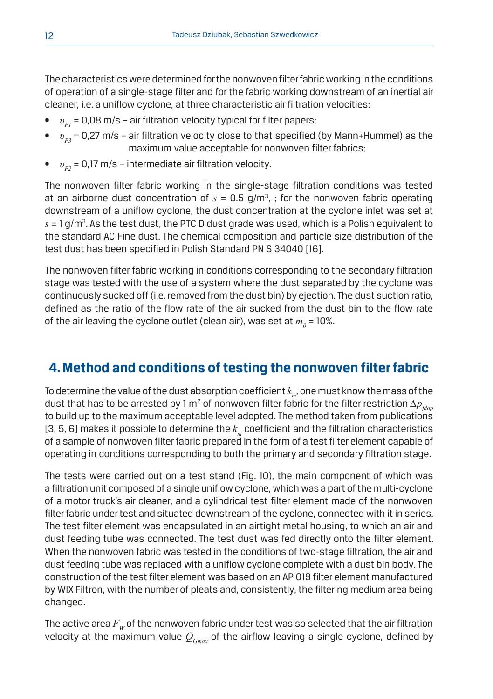The characteristics were determined for the nonwoven filter fabric working in the conditions of operation of a single-stage filter and for the fabric working downstream of an inertial air cleaner, i.e. a uniflow cyclone, at three characteristic air filtration velocities:

- $v_{F1}$  = 0,08 m/s air filtration velocity typical for filter papers;
- *v*<sub>F3</sub> = 0,27 m/s air filtration velocity close to that specified (by Mann+Hummel) as the maximum value acceptable for nonwoven filter fabrics;
- *v<sub>r2</sub>* = 0,17 m/s intermediate air filtration velocity.

The nonwoven filter fabric working in the single-stage filtration conditions was tested at an airborne dust concentration of  $s = 0.5$  g/m<sup>3</sup>, ; for the nonwoven fabric operating downstream of a uniflow cyclone, the dust concentration at the cyclone inlet was set at  $s$  = 1 g/m $^{\rm 3}$ . As the test dust, the PTC D dust grade was used, which is a Polish equivalent to the standard AC Fine dust. The chemical composition and particle size distribution of the test dust has been specified in Polish Standard PN S 34040 [16].

The nonwoven filter fabric working in conditions corresponding to the secondary filtration stage was tested with the use of a system where the dust separated by the cyclone was continuously sucked off (i.e. removed from the dust bin) by ejection. The dust suction ratio, defined as the ratio of the flow rate of the air sucked from the dust bin to the flow rate of the air leaving the cyclone outlet (clean air), was set at  $m_{_{\scriptscriptstyle{\theta}}}$  = 10%.

## **4. Method and conditions of testing the nonwoven filter fabric**

To determine the value of the dust absorption coefficient  $k_m$ , one must know the mass of the dust that has to be arrested by 1 m<sup>2</sup> of nonwoven filter fabric for the filter restriction  $\Delta p_{_{fdop}}$ to build up to the maximum acceptable level adopted. The method taken from publications [3, 5, 6] makes it possible to determine the  $k_m$  coefficient and the filtration characteristics of a sample of nonwoven filter fabric prepared in the form of a test filter element capable of operating in conditions corresponding to both the primary and secondary filtration stage.

The tests were carried out on a test stand (Fig. 10), the main component of which was a filtration unit composed of a single uniflow cyclone, which was a part of the multi-cyclone of a motor truck's air cleaner, and a cylindrical test filter element made of the nonwoven filter fabric under test and situated downstream of the cyclone, connected with it in series. The test filter element was encapsulated in an airtight metal housing, to which an air and dust feeding tube was connected. The test dust was fed directly onto the filter element. When the nonwoven fabric was tested in the conditions of two-stage filtration, the air and dust feeding tube was replaced with a uniflow cyclone complete with a dust bin body. The construction of the test filter element was based on an AP 019 filter element manufactured by WIX Filtron, with the number of pleats and, consistently, the filtering medium area being changed.

The active area  $F_w$  of the nonwoven fabric under test was so selected that the air filtration velocity at the maximum value  $Q_{Gmax}$  of the airflow leaving a single cyclone, defined by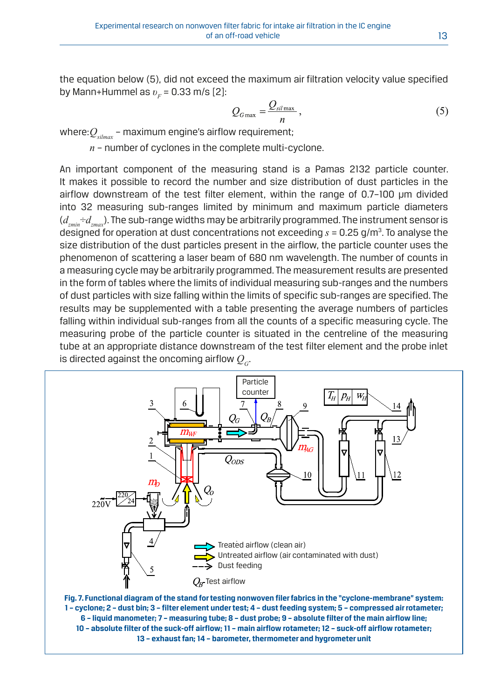the equation below (5), did not exceed the maximum air filtration velocity value specified by Mann+Hummel as  $v_F$  = 0.33 m/s [2]:

$$
Q_{G\max} = \frac{Q_{sil\max}}{n},\tag{5}
$$

where:  $Q_{sifmax}$  – maximum engine's airflow requirement;

*n* – number of cyclones in the complete multi-cyclone.

An important component of the measuring stand is a Pamas 2132 particle counter. It makes it possible to record the number and size distribution of dust particles in the airflow downstream of the test filter element, within the range of 0.7–100 μm divided into 32 measuring sub-ranges limited by minimum and maximum particle diameters (*dzmin÷dzmax*). The sub-range widths may be arbitrarily programmed. The instrument sensor is designed for operation at dust concentrations not exceeding  $s$  = 0.25 g/m $^{\rm 3}$ . To analyse the size distribution of the dust particles present in the airflow, the particle counter uses the phenomenon of scattering a laser beam of 680 nm wavelength. The number of counts in a measuring cycle may be arbitrarily programmed. The measurement results are presented in the form of tables where the limits of individual measuring sub-ranges and the numbers of dust particles with size falling within the limits of specific sub-ranges are specified. The results may be supplemented with a table presenting the average numbers of particles falling within individual sub-ranges from all the counts of a specific measuring cycle. The measuring probe of the particle counter is situated in the centreline of the measuring tube at an appropriate distance downstream of the test filter element and the probe inlet is directed against the oncoming airflow  $Q_{\rm d}$ .



**13 – exhaust fan; 14 – barometer, thermometer and hygrometer unit**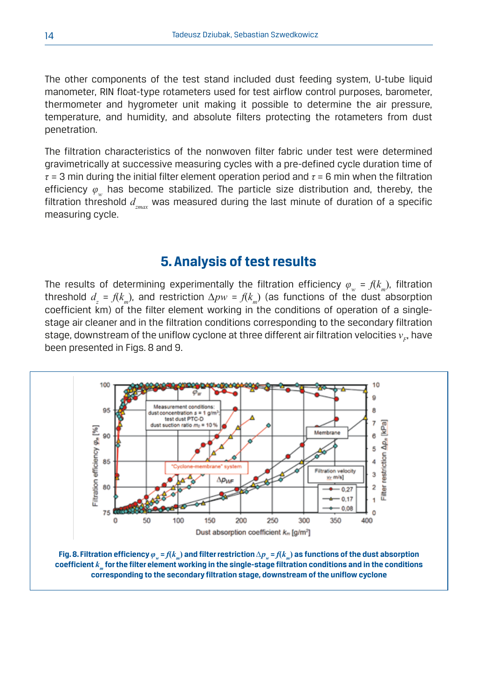The other components of the test stand included dust feeding system, U-tube liquid manometer, RIN float-type rotameters used for test airflow control purposes, barometer, thermometer and hygrometer unit making it possible to determine the air pressure, temperature, and humidity, and absolute filters protecting the rotameters from dust penetration.

The filtration characteristics of the nonwoven filter fabric under test were determined gravimetrically at successive measuring cycles with a pre-defined cycle duration time of *τ* = 3 min during the initial filter element operation period and *τ* = 6 min when the filtration efficiency *φw* has become stabilized. The particle size distribution and, thereby, the filtration threshold  $d_{\text{max}}$  was measured during the last minute of duration of a specific measuring cycle.

#### **5. Analysis of test results**

The results of determining experimentally the filtration efficiency  $\varphi_w = f(k_m)$ , filtration threshold  $d_z = f(k_m)$ , and restriction  $\Delta pw = f(k_m)$  (as functions of the dust absorption coefficient km) of the filter element working in the conditions of operation of a singlestage air cleaner and in the filtration conditions corresponding to the secondary filtration stage, downstream of the uniflow cyclone at three different air filtration velocities  $v_F$ , have been presented in Figs. 8 and 9.

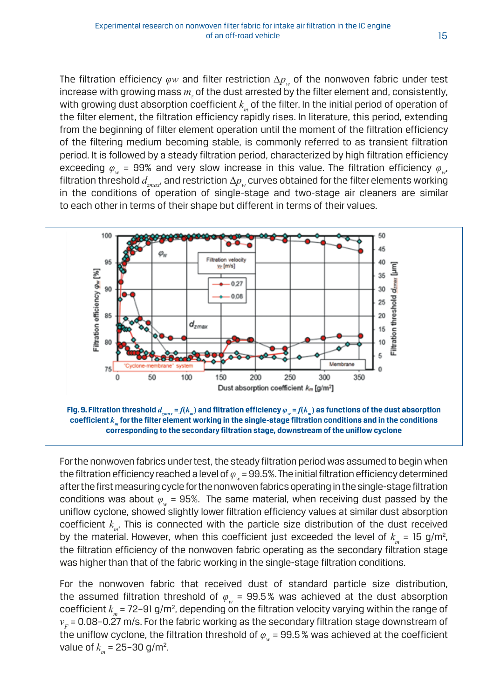The filtration efficiency *φw* and filter restriction *∆pw* of the nonwoven fabric under test increase with growing mass  $m_{\tilde{z}}$  of the dust arrested by the filter element and, consistently, with growing dust absorption coefficient  $k_m$  of the filter. In the initial period of operation of the filter element, the filtration efficiency rapidly rises. In literature, this period, extending from the beginning of filter element operation until the moment of the filtration efficiency of the filtering medium becoming stable, is commonly referred to as transient filtration period. It is followed by a steady filtration period, characterized by high filtration efficiency exceeding  $\varphi_{\omega}$  = 99% and very slow increase in this value. The filtration efficiency  $\varphi_{\omega}$ , filtration threshold  $d_{z_{\text{max}}}$ , and restriction  $\Delta p_{w}$  curves obtained for the filter elements working in the conditions of operation of single-stage and two-stage air cleaners are similar to each other in terms of their shape but different in terms of their values.



For the nonwoven fabrics under test, the steady filtration period was assumed to begin when the filtration efficiency reached a level of  $\varphi_{av}$  = 99.5%. The initial filtration efficiency determined after the first measuring cycle for the nonwoven fabrics operating in the single-stage filtration conditions was about  $\varphi$ <sub>*w*</sub> = 95%. The same material, when receiving dust passed by the uniflow cyclone, showed slightly lower filtration efficiency values at similar dust absorption coefficient  $k_m$ , This is connected with the particle size distribution of the dust received by the material. However, when this coefficient just exceeded the level of  $k_{_m}$  = 15 g/m<sup>2</sup>, the filtration efficiency of the nonwoven fabric operating as the secondary filtration stage was higher than that of the fabric working in the single-stage filtration conditions.

For the nonwoven fabric that received dust of standard particle size distribution, the assumed filtration threshold of  $\varphi_{w}$  = 99.5% was achieved at the dust absorption coefficient  $k_{_{m}}$  = 72–91 g/m<sup>2</sup>, depending on the filtration velocity varying within the range of  $v_F$  = 0.08–0.27 m/s. For the fabric working as the secondary filtration stage downstream of the uniflow cyclone, the filtration threshold of  $\varphi_w$  = 99.5% was achieved at the coefficient value of  $k_m = 25 - 30 \text{ g/m}^2$ .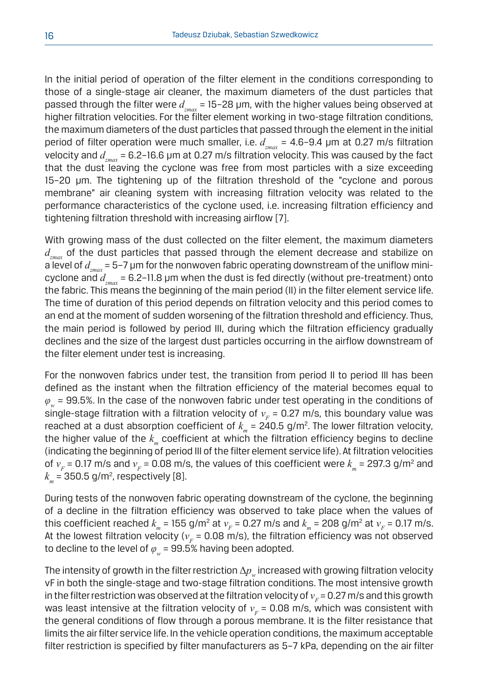In the initial period of operation of the filter element in the conditions corresponding to those of a single-stage air cleaner, the maximum diameters of the dust particles that passed through the filter were  $d_{\text{max}}$  = 15-28 μm, with the higher values being observed at higher filtration velocities. For the filter element working in two-stage filtration conditions, the maximum diameters of the dust particles that passed through the element in the initial period of filter operation were much smaller, i.e. *dzmax* = 4.6–9.4 μm at 0.27 m/s filtration velocity and *dzmax* = 6.2–16.6 μm at 0.27 m/s filtration velocity. This was caused by the fact that the dust leaving the cyclone was free from most particles with a size exceeding 15–20 μm. The tightening up of the filtration threshold of the "cyclone and porous membrane" air cleaning system with increasing filtration velocity was related to the performance characteristics of the cyclone used, i.e. increasing filtration efficiency and tightening filtration threshold with increasing airflow [7].

With growing mass of the dust collected on the filter element, the maximum diameters d<sub>ramar</sub> of the dust particles that passed through the element decrease and stabilize on a level of *dzmax* = 5–7 μm for the nonwoven fabric operating downstream of the uniflow minicyclone and  $d_{\text{max}}$  = 6.2–11.8 µm when the dust is fed directly (without pre-treatment) onto the fabric. This means the beginning of the main period (II) in the filter element service life. The time of duration of this period depends on filtration velocity and this period comes to an end at the moment of sudden worsening of the filtration threshold and efficiency. Thus, the main period is followed by period III, during which the filtration efficiency gradually declines and the size of the largest dust particles occurring in the airflow downstream of the filter element under test is increasing.

For the nonwoven fabrics under test, the transition from period II to period III has been defined as the instant when the filtration efficiency of the material becomes equal to *φw* = 99.5%. In the case of the nonwoven fabric under test operating in the conditions of single-stage filtration with a filtration velocity of  $v_F = 0.27$  m/s, this boundary value was reached at a dust absorption coefficient of  $k_{_m}$  = 240.5 g/m<sup>2</sup>. The lower filtration velocity, the higher value of the  $k_m$  coefficient at which the filtration efficiency begins to decline (indicating the beginning of period III of the filter element service life). At filtration velocities of  $v_F^{}$  = 0.17 m/s and  $v_F^{}$  = 0.08 m/s, the values of this coefficient were  $k_{_m}^{}$  = 297.3 g/m<sup>2</sup> and  $k_{_m}$  = 350.5 g/m², respectively [8].

During tests of the nonwoven fabric operating downstream of the cyclone, the beginning of a decline in the filtration efficiency was observed to take place when the values of this coefficient reached  $k_m$  = 155 g/m<sup>2</sup> at  $v_F$  = 0.27 m/s and  $k_m$  = 208 g/m<sup>2</sup> at  $v_F$  = 0.17 m/s. At the lowest filtration velocity ( $v_F$  = 0.08 m/s), the filtration efficiency was not observed to decline to the level of  $\varphi_{w}$  = 99.5% having been adopted.

The intensity of growth in the filter restriction  $\Delta p_{\mu}$  increased with growing filtration velocity vF in both the single-stage and two-stage filtration conditions. The most intensive growth in the filter restriction was observed at the filtration velocity of  $v_F$  = 0.27 m/s and this growth was least intensive at the filtration velocity of  $v_F = 0.08$  m/s, which was consistent with the general conditions of flow through a porous membrane. It is the filter resistance that limits the air filter service life. In the vehicle operation conditions, the maximum acceptable filter restriction is specified by filter manufacturers as 5–7 kPa, depending on the air filter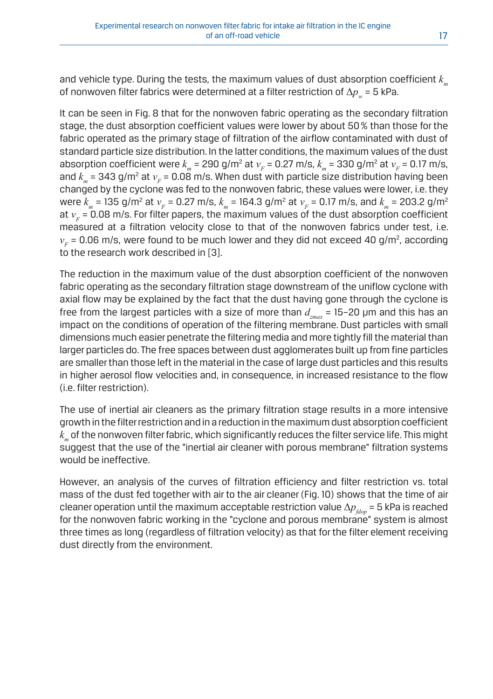and vehicle type. During the tests, the maximum values of dust absorption coefficient  $k_m$ of nonwoven filter fabrics were determined at a filter restriction of Δ*p*<sub>w</sub> = 5 kPa.

It can be seen in Fig. 8 that for the nonwoven fabric operating as the secondary filtration stage, the dust absorption coefficient values were lower by about 50% than those for the fabric operated as the primary stage of filtration of the airflow contaminated with dust of standard particle size distribution. In the latter conditions, the maximum values of the dust absorption coefficient were  $k_{_m}$  = 290 g/m<sup>2</sup> at  $v_{_F}$  = 0.27 m/s,  $k_{_m}$  = 330 g/m<sup>2</sup> at  $v_{_F}$  = 0.17 m/s, and  $k_{_m}$  = 343 g/m<sup>2</sup> at  $v_{_F}$  = 0.08 m/s. When dust with particle size distribution having been changed by the cyclone was fed to the nonwoven fabric, these values were lower, i.e. they were  $k_{_m}$  = 135 g/m² at  $v_{_F}$  = 0.27 m/s,  $k_{_m}$  = 164.3 g/m² at  $v_{_F}$  = 0.17 m/s, and  $k_{_m}$  = 203.2 g/m² at  $v_F$  = 0.08 m/s. For filter papers, the maximum values of the dust absorption coefficient measured at a filtration velocity close to that of the nonwoven fabrics under test, i.e.  $v_{\rm F}$  = 0.06 m/s, were found to be much lower and they did not exceed 40 g/m<sup>2</sup>, according to the research work described in [3].

The reduction in the maximum value of the dust absorption coefficient of the nonwoven fabric operating as the secondary filtration stage downstream of the uniflow cyclone with axial flow may be explained by the fact that the dust having gone through the cyclone is free from the largest particles with a size of more than  $d_{max}$  = 15-20  $\mu$ m and this has an impact on the conditions of operation of the filtering membrane. Dust particles with small dimensions much easier penetrate the filtering media and more tightly fill the material than larger particles do. The free spaces between dust agglomerates built up from fine particles are smaller than those left in the material in the case of large dust particles and this results in higher aerosol flow velocities and, in consequence, in increased resistance to the flow (i.e. filter restriction).

The use of inertial air cleaners as the primary filtration stage results in a more intensive growth in the filter restriction and in a reduction in the maximum dust absorption coefficient  $k<sub>m</sub>$  of the nonwoven filter fabric, which significantly reduces the filter service life. This might suggest that the use of the "inertial air cleaner with porous membrane" filtration systems would be ineffective.

However, an analysis of the curves of filtration efficiency and filter restriction vs. total mass of the dust fed together with air to the air cleaner (Fig. 10) shows that the time of air cleaner operation until the maximum acceptable restriction value  $\Delta p_{\text{f_{\text{dop}}}} = 5$  kPa is reached for the nonwoven fabric working in the "cyclone and porous membrane" system is almost three times as long (regardless of filtration velocity) as that for the filter element receiving dust directly from the environment.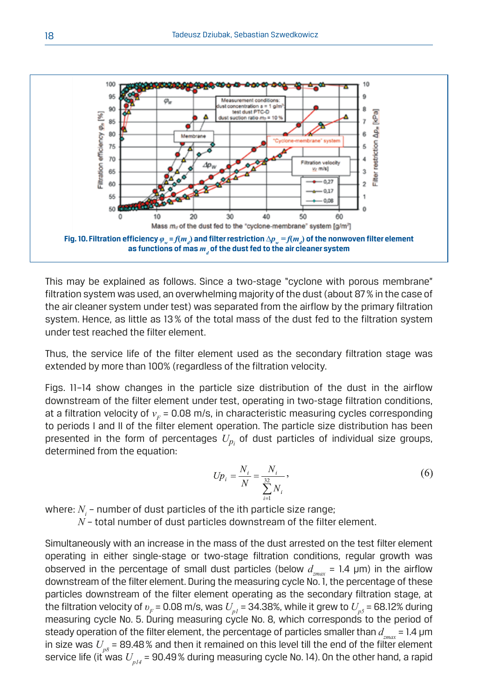

This may be explained as follows. Since a two-stage "cyclone with porous membrane" filtration system was used, an overwhelming majority of the dust (about 87% in the case of the air cleaner system under test) was separated from the airflow by the primary filtration system. Hence, as little as 13% of the total mass of the dust fed to the filtration system under test reached the filter element.

Thus, the service life of the filter element used as the secondary filtration stage was extended by more than 100% (regardless of the filtration velocity.

Figs. 11–14 show changes in the particle size distribution of the dust in the airflow downstream of the filter element under test, operating in two-stage filtration conditions, at a filtration velocity of  $v_F$  = 0.08 m/s, in characteristic measuring cycles corresponding to periods I and II of the filter element operation. The particle size distribution has been presented in the form of percentages  $U_{p_i}$  of dust particles of individual size groups, determined from the equation:

$$
Up_i = \frac{N_i}{N} = \frac{N_i}{\sum_{i=1}^{32} N_i},
$$
\n(6)

where:  $N_i$  – number of dust particles of the ith particle size range;

*N* – total number of dust particles downstream of the filter element.

Simultaneously with an increase in the mass of the dust arrested on the test filter element operating in either single-stage or two-stage filtration conditions, regular growth was observed in the percentage of small dust particles (below *d<sub>rmax</sub>* = 1.4 μm) in the airflow downstream of the filter element. During the measuring cycle No. 1, the percentage of these particles downstream of the filter element operating as the secondary filtration stage, at the filtration velocity of  $v_F$  = 0.08 m/s, was  $U_{pI}$  = 34.38%, while it grew to  $U_{pS}$  = 68.12% during measuring cycle No. 5. During measuring cycle No. 8, which corresponds to the period of steady operation of the filter element, the percentage of particles smaller than  $d_{\text{max}} = 1.4 \text{ }\mu\text{m}$ in size was  $U_{p8}$  = 89.48% and then it remained on this level till the end of the filter element service life (it was  $U_{p14}$  = 90.49% during measuring cycle No. 14). On the other hand, a rapid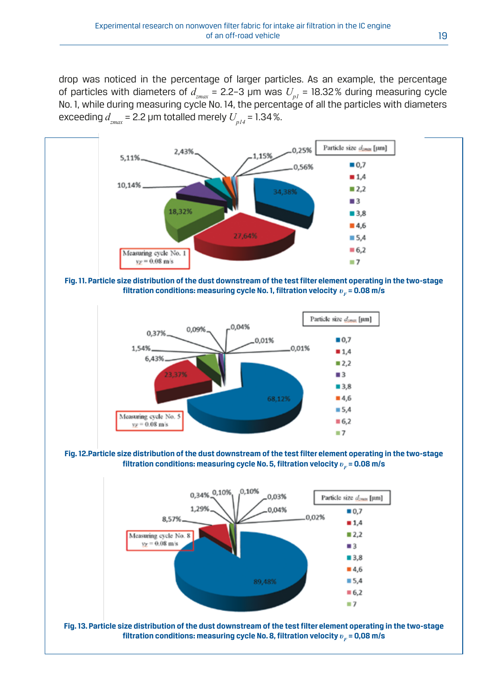drop was noticed in the percentage of larger particles. As an example, the percentage of particles with diameters of  $d_{z_{max}}$  = 2.2-3 µm was  $U_{pl}$  = 18.32% during measuring cycle No. 1, while during measuring cycle No. 14, the percentage of all the particles with diameters exceeding  $d_{max}$  = 2.2 µm totalled merely  $U_{p14}$  = 1.34%.

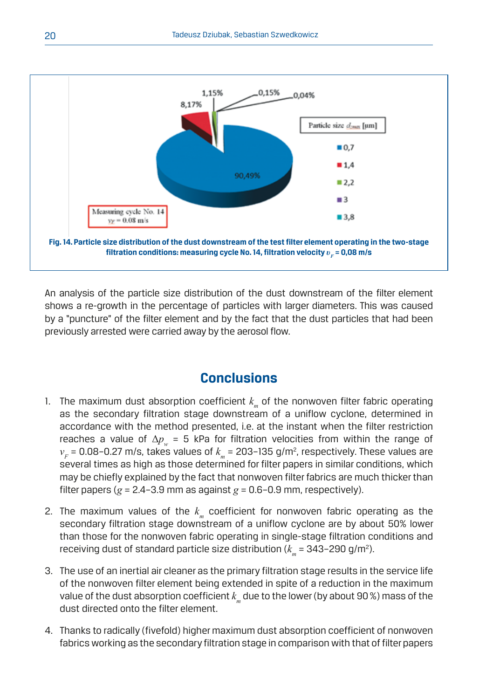

An analysis of the particle size distribution of the dust downstream of the filter element shows a re-growth in the percentage of particles with larger diameters. This was caused by a "puncture" of the filter element and by the fact that the dust particles that had been previously arrested were carried away by the aerosol flow.

## **Conclusions**

- 1. The maximum dust absorption coefficient  $k<sub>m</sub>$  of the nonwoven filter fabric operating as the secondary filtration stage downstream of a uniflow cyclone, determined in accordance with the method presented, i.e. at the instant when the filter restriction reaches a value of  $\Delta p_{\mu} = 5$  kPa for filtration velocities from within the range of  $v_{\rm F}$  = 0.08–0.27 m/s, takes values of  $k_{_{\rm m}}$  = 203–135 g/m<sup>2</sup>, respectively. These values are several times as high as those determined for filter papers in similar conditions, which may be chiefly explained by the fact that nonwoven filter fabrics are much thicker than filter papers ( $g = 2.4 - 3.9$  mm as against  $g = 0.6 - 0.9$  mm, respectively).
- 2. The maximum values of the  $k_m$  coefficient for nonwoven fabric operating as the secondary filtration stage downstream of a uniflow cyclone are by about 50% lower than those for the nonwoven fabric operating in single-stage filtration conditions and receiving dust of standard particle size distribution ( $k_{_m}$  = 343–290 g/m<sup>2</sup>).
- 3. The use of an inertial air cleaner as the primary filtration stage results in the service life of the nonwoven filter element being extended in spite of a reduction in the maximum value of the dust absorption coefficient  $k<sub>m</sub>$  due to the lower (by about 90 %) mass of the dust directed onto the filter element.
- 4. Thanks to radically (fivefold) higher maximum dust absorption coefficient of nonwoven fabrics working as the secondary filtration stage in comparison with that of filter papers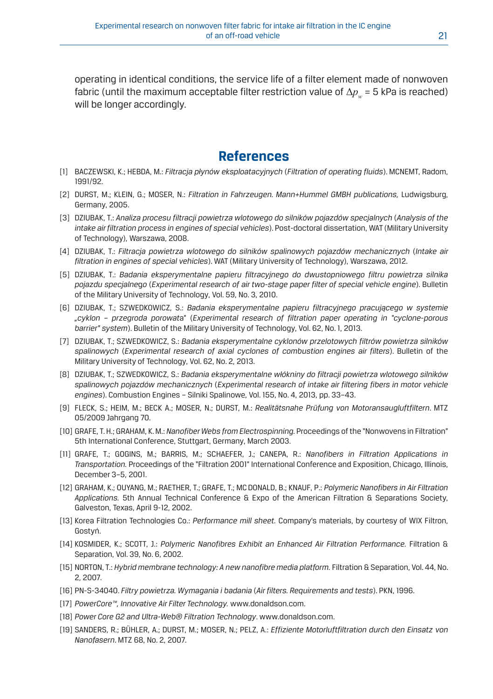operating in identical conditions, the service life of a filter element made of nonwoven fabric (until the maximum acceptable filter restriction value of  $\Delta p_w = 5$  kPa is reached) will be longer accordingly.

#### **References**

- [1] BACZEWSKI, K.; HEBDA, M.: *Filtracja płynów eksploatacyjnych* (*Filtration of operating fluids*). MCNEMT, Radom, 1991/92.
- [2] DURST, M.; KLEIN, G.; MOSER, N.: *Filtration in Fahrzeugen. Mann+Hummel GMBH publications*, Ludwigsburg, Germany, 2005.
- [3] DZIUBAK, T.: *Analiza procesu filtracji powietrza wlotowego do silników pojazdów specjalnych* (*Analysis of the intake air filtration process in engines of special vehicles*). Post-doctoral dissertation, WAT (Military University of Technology), Warszawa, 2008.
- [4] DZIUBAK, T.: *Filtracja powietrza wlotowego do silników spalinowych pojazdów mechanicznych* (*Intake air filtration in engines of special vehicles*). WAT (Military University of Technology), Warszawa, 2012.
- [5] DZIUBAK, T.: *Badania eksperymentalne papieru filtracyjnego do dwustopniowego filtru powietrza silnika pojazdu specjalne*g*o* (*Experimental research of air two-stage paper filter of special vehicle engine*). Bulletin of the Military University of Technology, Vol. 59, No. 3, 2010.
- [6] DZIUBAK, T.; SZWEDKOWICZ, S.: *Badania eksperymentalne papieru filtracyjnego pracującego w systemie "cyklon – przegroda porowat*a" (*Experimental research of filtration paper operating in "cyclone-porous barrier" system*). Bulletin of the Military University of Technology, Vol. 62, No. 1, 2013.
- [7] DZIUBAK, T.; SZWEDKOWICZ, S.: *Badania eksperymentalne cyklonów przelotowych filtrów powietrza silników spalinowych* (*Experimental research of axial cyclones of combustion engines air filters*). Bulletin of the Military University of Technology, Vol. 62, No. 2, 2013.
- [8] DZIUBAK, T.; SZWEDKOWICZ, S.: *Badania eksperymentalne włókniny do filtracji powietrza wlotowego silników spalinowych pojazdów mechanicznych* (*Experimental research of intake air filtering fibers in motor vehicle engines*). Combustion Engines – Silniki Spalinowe, Vol. 155, No. 4, 2013, pp. 33–43.
- [9] FLECK, S.; HEIM, M.; BECK A.; MOSER, N.; DURST, M.: *Realitätsnahe Prüfung von Motoransaugluftfiltern*. MTZ 05/2009 Jahrgang 70.
- [10] GRAFE, T. H.; GRAHAM, K. M.: *Nanofiber Webs from Electrospinning.* Proceedings of the "Nonwovens in Filtration" 5th International Conference, Stuttgart, Germany, March 2003.
- [11] GRAFE, T.; GOGINS, M.; BARRIS, M.; SCHAEFER, J.; CANEPA, R.: *Nanofibers in Filtration Applications in Transportation.* Proceedings of the "Filtration 2001" International Conference and Exposition, Chicago, Illinois, December 3–5, 2001.
- [12] GRAHAM, K.; OUYANG, M.; RAETHER, T.; GRAFE, T.; MCDONALD, B.; KNAUF, P.: *Polymeric Nanofibers in Air Filtration Applications.* 5th Annual Technical Conference & Expo of the American Filtration & Separations Society, Galveston, Texas, April 9-12, 2002.
- [13] Korea Filtration Technologies Co.: *Performance mill sheet.* Company's materials, by courtesy of WIX Filtron, Gostyń.
- [14] KOSMIDER, K.; SCOTT, J.: *Polymeric Nanofibres Exhibit an Enhanced Air Filtration Performance.* Filtration & Separation, Vol. 39, No. 6, 2002.
- [15] NORTON, T.: *Hybrid membrane technology: A new nanofibre media platform.* Filtration & Separation, Vol. 44, No. 2, 2007.
- [16] PN-S-34040. *Filtry powietrza. Wymagania i badania* (*Air filters. Requirements and tests*). PKN, 1996.
- [17] *PowerCore™, Innovative Air Filter Technology.* www.donaldson.com.
- [18] *Power Core G2 and Ultra-Web® Filtration Technology*. www.donaldson.com.
- [19] SANDERS, R.; BÜHLER, A.; DURST, M.; MOSER, N.; PELZ, A.: *Effiziente Motorluftfiltration durch den Einsatz von Nanofasern*. MTZ 68, No. 2, 2007.